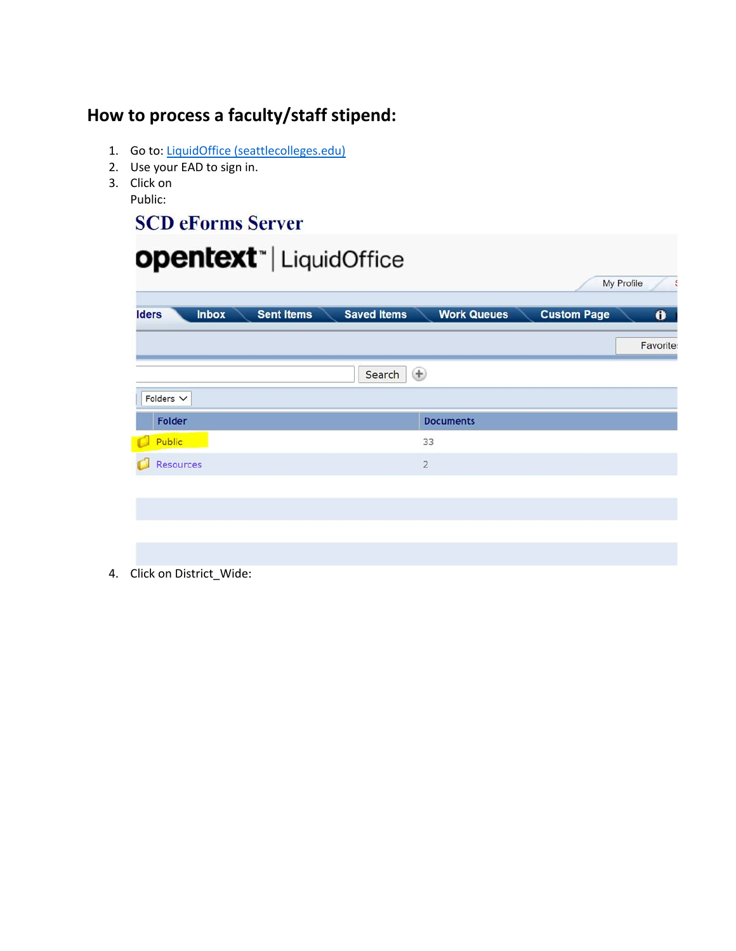## **How to process a faculty/staff stipend:**

- 1. Go to: LiquidOffice (seattlecolleges.edu)
- 2. Use your EAD to sign in.
- 3. Click on Public:

## **SCD eForms Server**

|                              | <b>opentext</b> "   LiquidOffice |                         |                    |                    |            |
|------------------------------|----------------------------------|-------------------------|--------------------|--------------------|------------|
|                              |                                  |                         |                    |                    | My Profile |
| <b>Iders</b><br><b>Inbox</b> | <b>Sent Items</b>                | <b>Saved Items</b>      | <b>Work Queues</b> | <b>Custom Page</b> | $\bullet$  |
|                              |                                  |                         |                    |                    | Favorite   |
|                              |                                  | $\bigoplus$<br>Search   |                    |                    |            |
| Folders $\vee$               |                                  |                         |                    |                    |            |
| Folder                       |                                  |                         | <b>Documents</b>   |                    |            |
| Public                       |                                  |                         | 33                 |                    |            |
| Resources                    |                                  | $\overline{\mathbf{c}}$ |                    |                    |            |
|                              |                                  |                         |                    |                    |            |
|                              |                                  |                         |                    |                    |            |
|                              |                                  |                         |                    |                    |            |
|                              |                                  |                         |                    |                    |            |

4. Click on District\_Wide: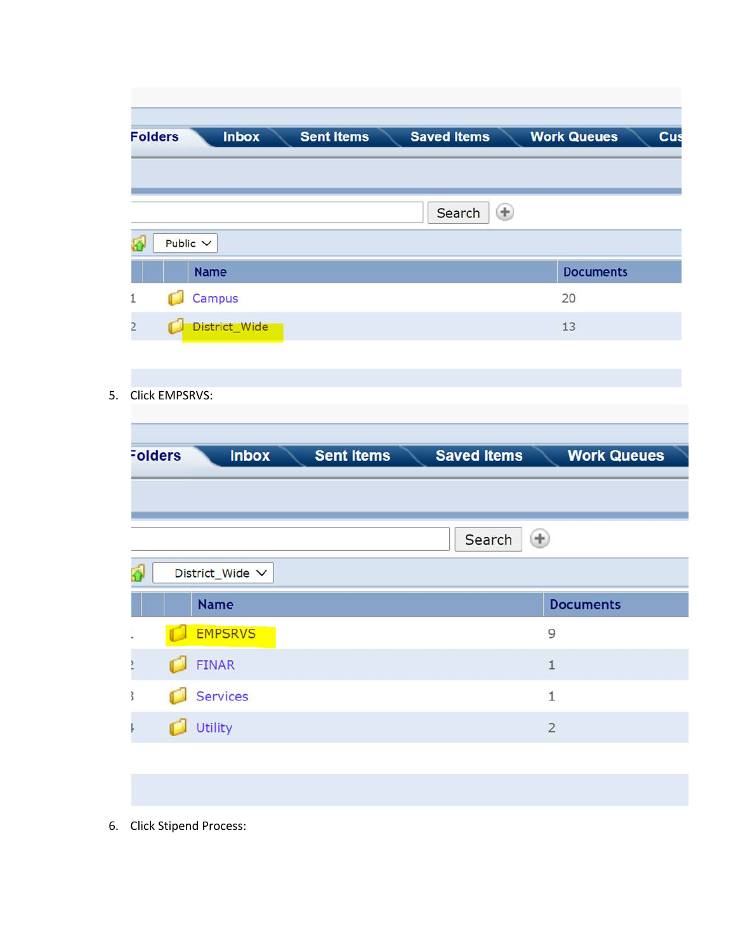| Public $\vee$<br><b>Name</b><br>Campus |              | $^{\circledast}$<br>Search | <b>Documents</b>   |
|----------------------------------------|--------------|----------------------------|--------------------|
|                                        |              |                            |                    |
|                                        |              |                            |                    |
|                                        |              |                            |                    |
|                                        |              |                            |                    |
|                                        |              |                            |                    |
|                                        |              |                            | 20                 |
| District_Wide                          |              |                            | 13                 |
|                                        |              |                            |                    |
| <b>Click EMPSRVS:</b>                  |              |                            |                    |
|                                        |              |                            |                    |
| <b>Folders</b>                         |              |                            | <b>Work Queues</b> |
|                                        |              |                            |                    |
|                                        |              |                            |                    |
|                                        |              | Search                     | $\bigoplus$        |
| District_Wide V                        |              |                            |                    |
| <b>Name</b>                            |              |                            | <b>Documents</b>   |
|                                        |              |                            |                    |
| EMPSRVS                                |              |                            | 9                  |
| FINAR                                  |              |                            | $\mathbf{1}$       |
| Services<br>d                          |              |                            | $\mathbf 1$        |
|                                        | <b>Inbox</b> | <b>Sent Items</b>          | <b>Saved Items</b> |

6. Click Stipend Process: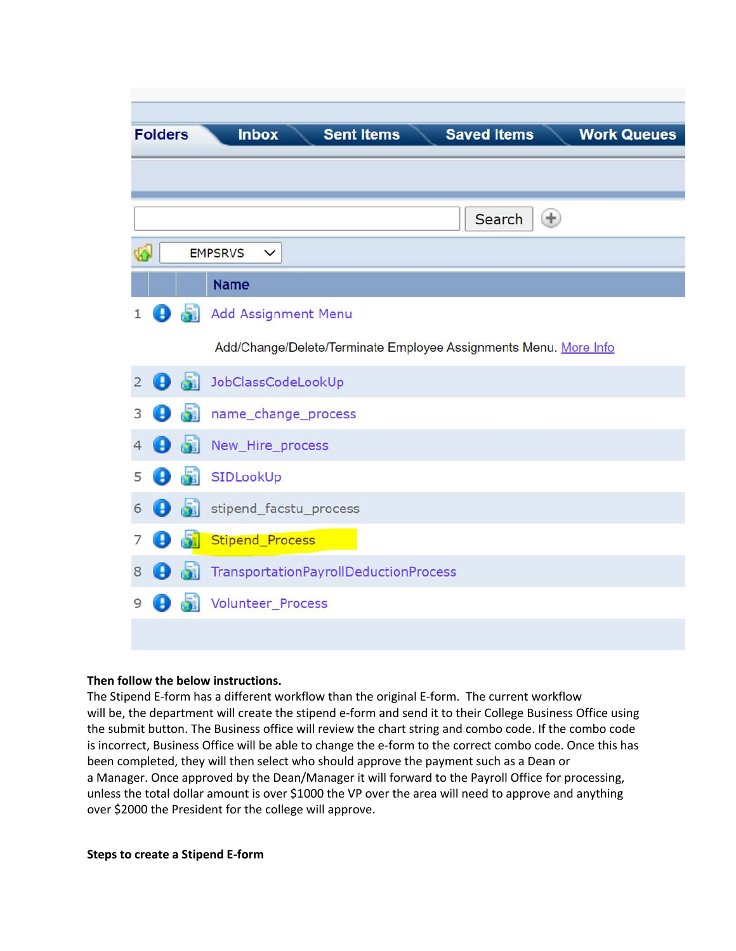|                         | <b>Folders</b> |      | <b>Sent Items</b><br><b>Saved Items</b><br><b>Inbox</b><br><b>Work Queues</b> |
|-------------------------|----------------|------|-------------------------------------------------------------------------------|
|                         |                |      |                                                                               |
|                         |                |      |                                                                               |
|                         |                |      | $\left( \pm \right)$<br>Search                                                |
| $\overline{\mathbf{A}}$ |                |      | <b>EMPSRVS</b><br>$\checkmark$                                                |
|                         |                |      | <b>Name</b>                                                                   |
|                         | Đ              |      | Add Assignment Menu                                                           |
|                         |                |      | Add/Change/Delete/Terminate Employee Assignments Menu. More Info              |
| $\overline{2}$          | Đ              |      | JobClassCodeLookUp                                                            |
| 3                       | g,             |      | name_change_process                                                           |
| 4                       | 8              | da 1 | New_Hire_process                                                              |
| 5                       | Đ              | ۵Ñ   | SIDLookUp                                                                     |
| 6                       | Ð              | ۵ĩ.  | stipend_facstu_process                                                        |
|                         | Ð              | 51   | Stipend_Process                                                               |
| 8                       | B              |      | TransportationPayrollDeductionProcess                                         |
| 9                       |                |      | Volunteer Process                                                             |
|                         |                |      |                                                                               |

## **Then follow the below instructions.**

The Stipend E-form has a different workflow than the original E-form. The current workflow will be, the department will create the stipend e-form and send it to their College Business Office using the submit button. The Business office will review the chart string and combo code. If the combo code is incorrect, Business Office will be able to change the e-form to the correct combo code. Once this has been completed, they will then select who should approve the payment such as a Dean or a Manager. Once approved by the Dean/Manager it will forward to the Payroll Office for processing, unless the total dollar amount is over \$1000 the VP over the area will need to approve and anything over \$2000 the President for the college will approve.

## **Steps to create a Stipend E-form**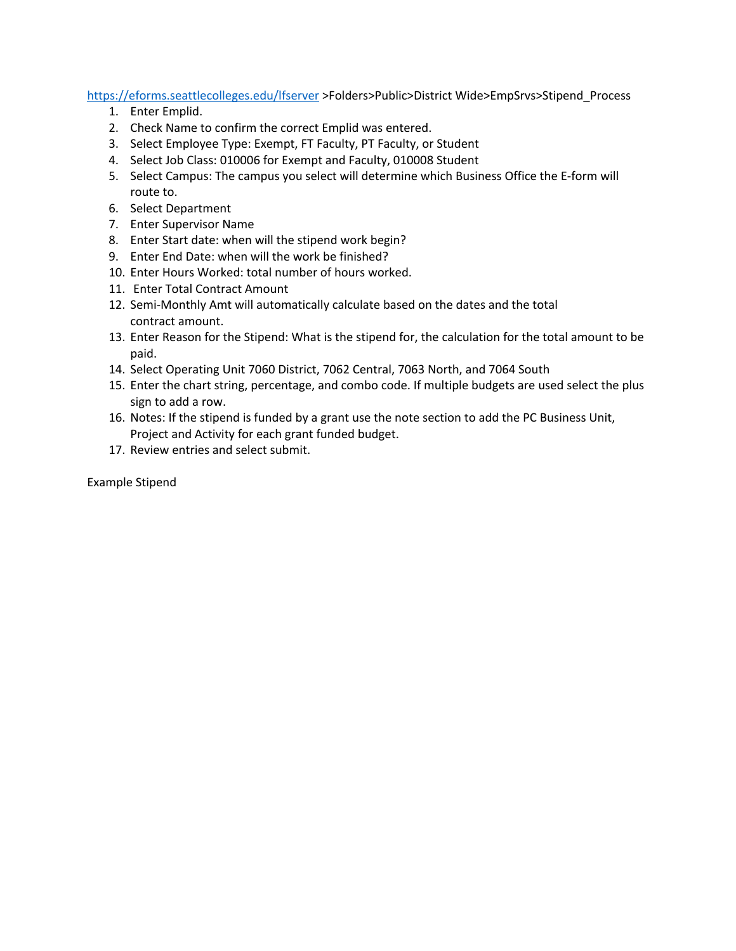https://eforms.seattlecolleges.edu/lfserver >Folders>Public>District Wide>EmpSrvs>Stipend\_Process

- 1. Enter Emplid.
- 2. Check Name to confirm the correct Emplid was entered.
- 3. Select Employee Type: Exempt, FT Faculty, PT Faculty, or Student
- 4. Select Job Class: 010006 for Exempt and Faculty, 010008 Student
- 5. Select Campus: The campus you select will determine which Business Office the E-form will route to.
- 6. Select Department
- 7. Enter Supervisor Name
- 8. Enter Start date: when will the stipend work begin?
- 9. Enter End Date: when will the work be finished?
- 10. Enter Hours Worked: total number of hours worked.
- 11. Enter Total Contract Amount
- 12. Semi-Monthly Amt will automatically calculate based on the dates and the total contract amount.
- 13. Enter Reason for the Stipend: What is the stipend for, the calculation for the total amount to be paid.
- 14. Select Operating Unit 7060 District, 7062 Central, 7063 North, and 7064 South
- 15. Enter the chart string, percentage, and combo code. If multiple budgets are used select the plus sign to add a row.
- 16. Notes: If the stipend is funded by a grant use the note section to add the PC Business Unit, Project and Activity for each grant funded budget.
- 17. Review entries and select submit.

Example Stipend